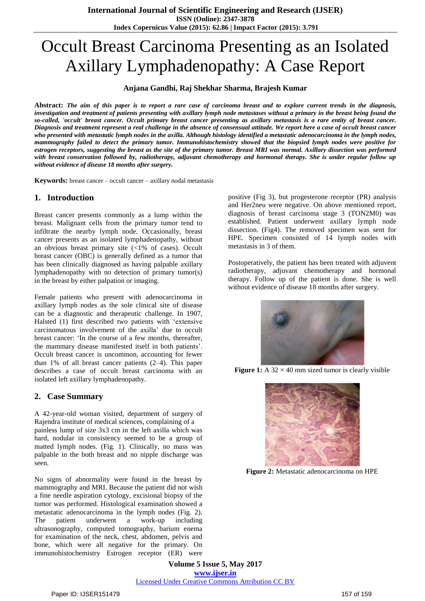# Occult Breast Carcinoma Presenting as an Isolated Axillary Lymphadenopathy: A Case Report

### **Anjana Gandhi, Raj Shekhar Sharma, Brajesh Kumar**

Abstract: The aim of this paper is to report a rare case of carcinoma breast and to explore current trends in the diagnosis, investigation and treatment of patients presenting with axillary lymph node metastases without a primary in the breast being found the so-called, 'occult' breast cancer. Occult primary breast cancer presenting as axillary metastasis is a rare entity of breast cancer. Diagnosis and treatment represent a real challenge in the absence of consensual attitude. We report here a case of occult breast cancer *who presented with metastatic lymph nodes in the axilla. Although histology identified a metastatic adenocarcinoma in the lymph nodes, mammography failed to detect the primary tumor. Immunohistochemistry showed that the biopsied lymph nodes were positive for estrogen receptors, suggesting the breast as the site of the primary tumor. Breast MRI was normal. Axillary dissection was performed with breast conservation followed by, radiotherapy, adjuvant chemotherapy and hormonal therapy. She is under regular follow up without evidence of disease 18 months after surgery.*

**Keywords:** breast cancer – occult cancer – axillary nodal metastasis

#### **1. Introduction**

Breast cancer presents commonly as a lump within the breast. Malignant cells from the primary tumor tend to infiltrate the nearby lymph node. Occasionally, breast cancer presents as an isolated lymphadenopathy, without an obvious breast primary site  $\langle 1\% \rangle$  of cases). Occult breast cancer (OBC) is generally defined as a tumor that has been clinically diagnosed as having palpable axillary lymphadenopathy with no detection of primary tumor(s) in the breast by either palpation or imaging.

Female patients who present with adenocarcinoma in axillary lymph nodes as the sole clinical site of disease can be a diagnostic and therapeutic challenge. In 1907, Halsted (1) first described two patients with 'extensive carcinomatous involvement of the axilla' due to occult breast cancer: 'In the course of a few months, thereafter, the mammary disease manifested itself in both patients'. Occult breast cancer is uncommon, accounting for fewer than 1% of all breast cancer patients (2–4). This paper describes a case of occult breast carcinoma with an isolated left axillary lymphadenopathy.

#### **2. Case Summary**

A 42-year-old woman visited, department of surgery of Rajendra institute of medical sciences, complaining of a painless lump of size 3x3 cm in the left axilla which was hard, nodular in consistency seemed to be a group of matted lymph nodes. (Fig. 1). Clinically, no mass was palpable in the both breast and no nipple discharge was seen.

No signs of abnormality were found in the breast by mammography and MRI. Because the patient did not wish a fine needle aspiration cytology, excisional biopsy of the tumor was performed. Histological examination showed a metastatic adenocarcinoma in the lymph nodes (Fig. 2). The patient underwent a work-up including ultrasonography, computed tomography, barium enema for examination of the neck, chest, abdomen, pelvis and bone, which were all negative for the primary. On immunohistochemistry Estrogen receptor (ER) were

positive (Fig 3), but progesterone receptor (PR) analysis and Her2neu were negative. On above mentioned report, diagnosis of breast carcinoma stage 3 (TON2M0) was established. Patient underwent axillary lymph node dissection. (Fig4). The removed specimen was sent for HPE. Specimen consisted of 14 lymph nodes with metastasis in 3 of them.

Postoperatively, the patient has been treated with adjuvent radiotherapy, adjuvant chemotherapy and hormonal therapy. Follow up of the patient is done. She is well without evidence of disease 18 months after surgery.



**Figure 1:** A  $32 \times 40$  mm sized tumor is clearly visible



**Figure 2:** Metastatic adenocarcinoma on HPE

**Volume 5 Issue 5, May 2017 www.ijser.in** Licensed Under Creative Commons Attribution CC BY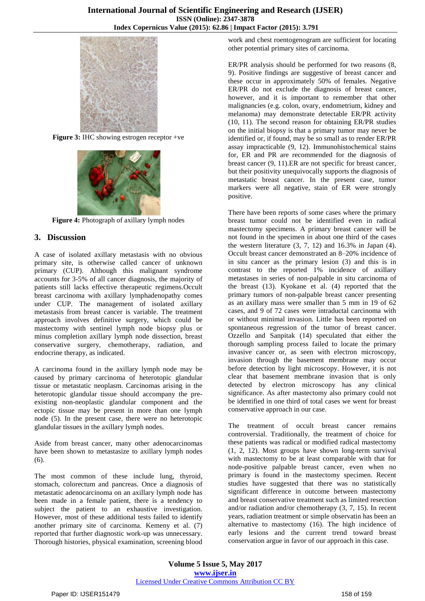

**Figure 3:** IHC showing estrogen receptor +ve



**Figure 4:** Photograph of axillary lymph nodes

## **3. Discussion**

A case of isolated axillary metastasis with no obvious primary site, is otherwise called cancer of unknown primary (CUP). Although this malignant syndrome accounts for 3-5% of all cancer diagnosis, the majority of patients still lacks effective therapeutic regimens.Occult breast carcinoma with axillary lymphadenopathy comes under CUP. The management of isolated axillary metastasis from breast cancer is variable. The treatment approach involves definitive surgery, which could be mastectomy with sentinel lymph node biopsy plus or minus completion axillary lymph node dissection, breast conservative surgery, chemotherapy, radiation, and endocrine therapy, as indicated.

A carcinoma found in the axillary lymph node may be caused by primary carcinoma of heterotopic glandular tissue or metastatic neoplasm. Carcinomas arising in the heterotopic glandular tissue should accompany the preexisting non-neoplastic glandular component and the ectopic tissue may be present in more than one lymph node (5). In the present case, there were no heterotopic glandular tissues in the axillary lymph nodes.

Aside from breast cancer, many other adenocarcinomas have been shown to metastasize to axillary lymph nodes (6).

The most common of these include lung, thyroid, stomach, colorectum and pancreas. Once a diagnosis of metastatic adenocarcinoma on an axillary lymph node has been made in a female patient, there is a tendency to subject the patient to an exhaustive investigation. However, most of these additional tests failed to identify another primary site of carcinoma. Kemeny et al. (7) reported that further diagnostic work-up was unnecessary. Thorough histories, physical examination, screening blood

work and chest roentogenogram are sufficient for locating other potential primary sites of carcinoma.

ER/PR analysis should be performed for two reasons (8, 9). Positive findings are suggestive of breast cancer and these occur in approximately 50% of females. Negative ER/PR do not exclude the diagnosis of breast cancer, however, and it is important to remember that other malignancies (e.g. colon, ovary, endometrium, kidney and melanoma) may demonstrate detectable ER/PR activity (10, 11). The second reason for obtaining ER/PR studies on the initial biopsy is that a primary tumor may never be identified or, if found, may be so small as to render ER/PR assay impracticable (9, 12). Immunohistochemical stains for, ER and PR are recommended for the diagnosis of breast cancer (9, 11).ER are not specific for breast cancer, but their positivity unequivocally supports the diagnosis of metastatic breast cancer. In the present case, tumor markers were all negative, stain of ER were strongly positive.

There have been reports of some cases where the primary breast tumor could not be identified even in radical mastectomy specimens. A primary breast cancer will be not found in the specimen in about one third of the cases the western literature  $(3, 7, 12)$  and  $16.3\%$  in Japan  $(4)$ . Occult breast cancer demonstrated an 8–20% incidence of in situ cancer as the primary lesion (3) and this is in contrast to the reported 1% incidence of axillary metastases in series of non-palpable in situ carcinoma of the breast (13). Kyokane et al. (4) reported that the primary tumors of non-palpable breast cancer presenting as an axillary mass were smaller than 5 mm in 19 of 62 cases, and 9 of 72 cases were intraductal carcinoma with or without minimal invasion. Little has been reported on spontaneous regression of the tumor of breast cancer. Ozzello and Sanpitak (14) speculated that either the thorough sampling process failed to locate the primary invasive cancer or, as seen with electron microscopy, invasion through the basement membrane may occur before detection by light microscopy. However, it is not clear that basement membrane invasion that is only detected by electron microscopy has any clinical significance. As after mastectomy also primary could not be identified in one third of total cases we went for breast conservative approach in our case.

The treatment of occult breast cancer remains controversial. Traditionally, the treatment of choice for these patients was radical or modified radical mastectomy (1, 2, 12). Most groups have shown long-term survival with mastectomy to be at least comparable with that for node-positive palpable breast cancer, even when no primary is found in the mastectomy specimen. Recent studies have suggested that there was no statistically significant difference in outcome between mastectomy and breast conservative treatment such as limited resection and/or radiation and/or chemotherapy (3, 7, 15). In recent years, radiation treatment or simple observatin has been an alternative to mastectomy (16). The high incidence of early lesions and the current trend toward breast conservation argue in favor of our approach in this case.